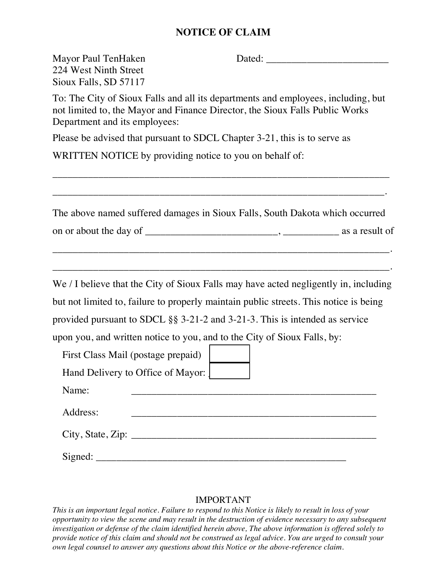## **NOTICE OF CLAIM**

| Mayor Paul TenHaken<br>224 West Ninth Street<br>Sioux Falls, SD 57117 | Dated: National Contract of the Contract of the Contract of the Contract of the Contract of the Contract of the Contract of the Contract of the Contract of the Contract of the Contract of the Contract of the Contract of th |
|-----------------------------------------------------------------------|--------------------------------------------------------------------------------------------------------------------------------------------------------------------------------------------------------------------------------|
| Department and its employees:                                         | To: The City of Sioux Falls and all its departments and employees, including, but<br>not limited to, the Mayor and Finance Director, the Sioux Falls Public Works                                                              |
|                                                                       | Please be advised that pursuant to SDCL Chapter 3-21, this is to serve as                                                                                                                                                      |
| WRITTEN NOTICE by providing notice to you on behalf of:               |                                                                                                                                                                                                                                |
|                                                                       |                                                                                                                                                                                                                                |
|                                                                       | The above named suffered damages in Sioux Falls, South Dakota which occurred                                                                                                                                                   |
|                                                                       |                                                                                                                                                                                                                                |
|                                                                       |                                                                                                                                                                                                                                |
|                                                                       | We / I believe that the City of Sioux Falls may have acted negligently in, including                                                                                                                                           |
|                                                                       | but not limited to, failure to properly maintain public streets. This notice is being                                                                                                                                          |
|                                                                       | provided pursuant to SDCL $\S$ § 3-21-2 and 3-21-3. This is intended as service                                                                                                                                                |
|                                                                       | upon you, and written notice to you, and to the City of Sioux Falls, by:                                                                                                                                                       |
| First Class Mail (postage prepaid)                                    |                                                                                                                                                                                                                                |
| Hand Delivery to Office of Mayor:                                     |                                                                                                                                                                                                                                |
| Name:                                                                 |                                                                                                                                                                                                                                |
| Address:                                                              |                                                                                                                                                                                                                                |
|                                                                       | City, State, Zip:                                                                                                                                                                                                              |
|                                                                       |                                                                                                                                                                                                                                |

## IMPORTANT

*This is an important legal notice. Failure to respond to this Notice is likely to result in loss of your opportunity to view the scene and may result in the destruction of evidence necessary to any subsequent investigation or defense of the claim identified herein above, The above information is offered solely to provide notice of this claim and should not be construed as legal advice. You are urged to consult your own legal counsel to answer any questions about this Notice or the above-reference claim.*